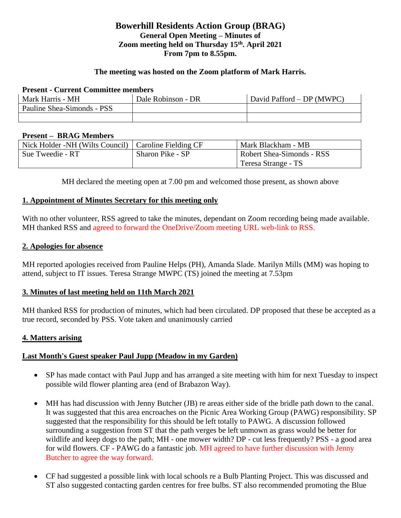# **Bowerhill Residents Action Group (BRAG) General Open Meeting – Minutes of Zoom meeting held on Thursday 15th. April 2021 From 7pm to 8.55pm.**

#### **The meeting was hosted on the Zoom platform of Mark Harris.**

### **Present - Current Committee members**

| Mark Harris - MH           | Dale Robinson - DR | David Pafford – DP (MWPC) |  |
|----------------------------|--------------------|---------------------------|--|
| Pauline Shea-Simonds - PSS |                    |                           |  |
|                            |                    |                           |  |

#### **Present – BRAG Members**

| Nick Holder -NH (Wilts Council)   Caroline Fielding CF |                  | Mark Blackham - MB        |
|--------------------------------------------------------|------------------|---------------------------|
| Sue Tweedie - RT                                       | Sharon Pike - SP | Robert Shea-Simonds - RSS |
|                                                        |                  | Teresa Strange - TS       |

MH declared the meeting open at 7.00 pm and welcomed those present, as shown above

#### **1. Appointment of Minutes Secretary for this meeting only**

With no other volunteer, RSS agreed to take the minutes, dependant on Zoom recording being made available. MH thanked RSS and agreed to forward the OneDrive/Zoom meeting URL web-link to RSS.

#### **2. Apologies for absence**

MH reported apologies received from Pauline Helps (PH), Amanda Slade. Marilyn Mills (MM) was hoping to attend, subject to IT issues. Teresa Strange MWPC (TS) joined the meeting at 7.53pm

## **3. Minutes of last meeting held on 11th March 2021**

MH thanked RSS for production of minutes, which had been circulated. DP proposed that these be accepted as a true record, seconded by PSS. Vote taken and unanimously carried

## **4. Matters arising**

## **Last Month's Guest speaker Paul Jupp (Meadow in my Garden)**

- SP has made contact with Paul Jupp and has arranged a site meeting with him for next Tuesday to inspect possible wild flower planting area (end of Brabazon Way).
- MH has had discussion with Jenny Butcher (JB) re areas either side of the bridle path down to the canal. It was suggested that this area encroaches on the Picnic Area Working Group (PAWG) responsibility. SP suggested that the responsibility for this should be left totally to PAWG. A discussion followed surrounding a suggestion from ST that the path verges be left unmown as grass would be better for wildlife and keep dogs to the path; MH - one mower width? DP - cut less frequently? PSS - a good area for wild flowers. CF - PAWG do a fantastic job. MH agreed to have further discussion with Jenny Butcher to agree the way forward.
- CF had suggested a possible link with local schools re a Bulb Planting Project. This was discussed and ST also suggested contacting garden centres for free bulbs. ST also recommended promoting the Blue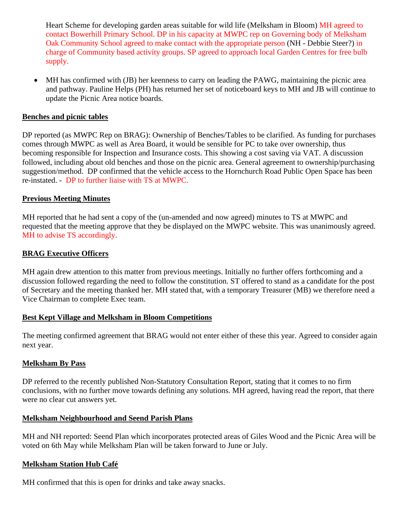Heart Scheme for developing garden areas suitable for wild life (Melksham in Bloom) MH agreed to contact Bowerhill Primary School. DP in his capacity at MWPC rep on Governing body of Melksham Oak Community School agreed to make contact with the appropriate person (NH - Debbie Steer?) in charge of Community based activity groups. SP agreed to approach local Garden Centres for free bulb supply.

• MH has confirmed with (JB) her keenness to carry on leading the PAWG, maintaining the picnic area and pathway. Pauline Helps (PH) has returned her set of noticeboard keys to MH and JB will continue to update the Picnic Area notice boards.

### **Benches and picnic tables**

DP reported (as MWPC Rep on BRAG): Ownership of Benches/Tables to be clarified. As funding for purchases comes through MWPC as well as Area Board, it would be sensible for PC to take over ownership, thus becoming responsible for Inspection and Insurance costs. This showing a cost saving via VAT. A discussion followed, including about old benches and those on the picnic area. General agreement to ownership/purchasing suggestion/method. DP confirmed that the vehicle access to the Hornchurch Road Public Open Space has been re-instated. - DP to further liaise with TS at MWPC.

#### **Previous Meeting Minutes**

MH reported that he had sent a copy of the (un-amended and now agreed) minutes to TS at MWPC and requested that the meeting approve that they be displayed on the MWPC website. This was unanimously agreed. MH to advise TS accordingly.

#### **BRAG Executive Officers**

MH again drew attention to this matter from previous meetings. Initially no further offers forthcoming and a discussion followed regarding the need to follow the constitution. ST offered to stand as a candidate for the post of Secretary and the meeting thanked her. MH stated that, with a temporary Treasurer (MB) we therefore need a Vice Chairman to complete Exec team.

#### **Best Kept Village and Melksham in Bloom Competitions**

The meeting confirmed agreement that BRAG would not enter either of these this year. Agreed to consider again next year.

#### **Melksham By Pass**

DP referred to the recently published Non-Statutory Consultation Report, stating that it comes to no firm conclusions, with no further move towards defining any solutions. MH agreed, having read the report, that there were no clear cut answers yet.

#### **Melksham Neighbourhood and Seend Parish Plans**

MH and NH reported: Seend Plan which incorporates protected areas of Giles Wood and the Picnic Area will be voted on 6th May while Melksham Plan will be taken forward to June or July.

## **Melksham Station Hub Café**

MH confirmed that this is open for drinks and take away snacks.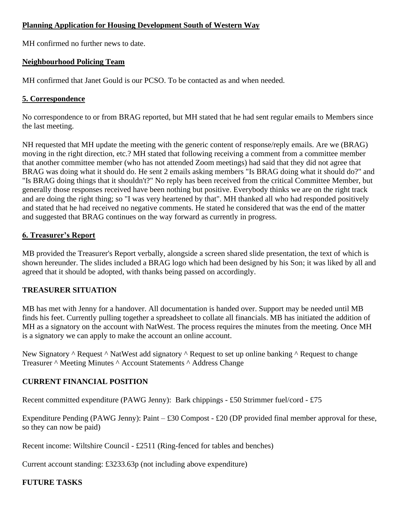## **Planning Application for Housing Development South of Western Way**

MH confirmed no further news to date.

## **Neighbourhood Policing Team**

MH confirmed that Janet Gould is our PCSO. To be contacted as and when needed.

## **5. Correspondence**

No correspondence to or from BRAG reported, but MH stated that he had sent regular emails to Members since the last meeting.

NH requested that MH update the meeting with the generic content of response/reply emails. Are we (BRAG) moving in the right direction, etc.? MH stated that following receiving a comment from a committee member that another committee member (who has not attended Zoom meetings) had said that they did not agree that BRAG was doing what it should do. He sent 2 emails asking members "Is BRAG doing what it should do?" and "Is BRAG doing things that it shouldn't?" No reply has been received from the critical Committee Member, but generally those responses received have been nothing but positive. Everybody thinks we are on the right track and are doing the right thing; so "I was very heartened by that". MH thanked all who had responded positively and stated that he had received no negative comments. He stated he considered that was the end of the matter and suggested that BRAG continues on the way forward as currently in progress.

# **6. Treasurer's Report**

MB provided the Treasurer's Report verbally, alongside a screen shared slide presentation, the text of which is shown hereunder. The slides included a BRAG logo which had been designed by his Son; it was liked by all and agreed that it should be adopted, with thanks being passed on accordingly.

## **TREASURER SITUATION**

MB has met with Jenny for a handover. All documentation is handed over. Support may be needed until MB finds his feet. Currently pulling together a spreadsheet to collate all financials. MB has initiated the addition of MH as a signatory on the account with NatWest. The process requires the minutes from the meeting. Once MH is a signatory we can apply to make the account an online account.

New Signatory  $\wedge$  Request  $\wedge$  NatWest add signatory  $\wedge$  Request to set up online banking  $\wedge$  Request to change Treasurer ^ Meeting Minutes ^ Account Statements ^ Address Change

# **CURRENT FINANCIAL POSITION**

Recent committed expenditure (PAWG Jenny): Bark chippings - £50 Strimmer fuel/cord - £75

Expenditure Pending (PAWG Jenny): Paint  $-$  £30 Compost - £20 (DP provided final member approval for these, so they can now be paid)

Recent income: Wiltshire Council - £2511 (Ring-fenced for tables and benches)

Current account standing: £3233.63p (not including above expenditure)

# **FUTURE TASKS**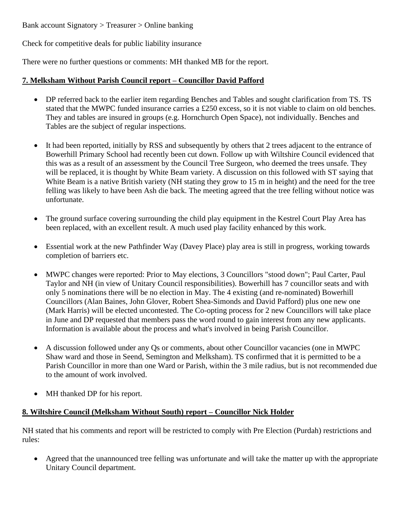Bank account Signatory > Treasurer > Online banking

Check for competitive deals for public liability insurance

There were no further questions or comments: MH thanked MB for the report.

## **7. Melksham Without Parish Council report – Councillor David Pafford**

- DP referred back to the earlier item regarding Benches and Tables and sought clarification from TS. TS stated that the MWPC funded insurance carries a £250 excess, so it is not viable to claim on old benches. They and tables are insured in groups (e.g. Hornchurch Open Space), not individually. Benches and Tables are the subject of regular inspections.
- It had been reported, initially by RSS and subsequently by others that 2 trees adjacent to the entrance of Bowerhill Primary School had recently been cut down. Follow up with Wiltshire Council evidenced that this was as a result of an assessment by the Council Tree Surgeon, who deemed the trees unsafe. They will be replaced, it is thought by White Beam variety. A discussion on this followed with ST saying that White Beam is a native British variety (NH stating they grow to 15 m in height) and the need for the tree felling was likely to have been Ash die back. The meeting agreed that the tree felling without notice was unfortunate.
- The ground surface covering surrounding the child play equipment in the Kestrel Court Play Area has been replaced, with an excellent result. A much used play facility enhanced by this work.
- Essential work at the new Pathfinder Way (Davey Place) play area is still in progress, working towards completion of barriers etc.
- MWPC changes were reported: Prior to May elections, 3 Councillors "stood down"; Paul Carter, Paul Taylor and NH (in view of Unitary Council responsibilities). Bowerhill has 7 councillor seats and with only 5 nominations there will be no election in May. The 4 existing (and re-nominated) Bowerhill Councillors (Alan Baines, John Glover, Robert Shea-Simonds and David Pafford) plus one new one (Mark Harris) will be elected uncontested. The Co-opting process for 2 new Councillors will take place in June and DP requested that members pass the word round to gain interest from any new applicants. Information is available about the process and what's involved in being Parish Councillor.
- A discussion followed under any Qs or comments, about other Councillor vacancies (one in MWPC Shaw ward and those in Seend, Semington and Melksham). TS confirmed that it is permitted to be a Parish Councillor in more than one Ward or Parish, within the 3 mile radius, but is not recommended due to the amount of work involved.
- MH thanked DP for his report.

# **8. Wiltshire Council (Melksham Without South) report – Councillor Nick Holder**

NH stated that his comments and report will be restricted to comply with Pre Election (Purdah) restrictions and rules:

• Agreed that the unannounced tree felling was unfortunate and will take the matter up with the appropriate Unitary Council department.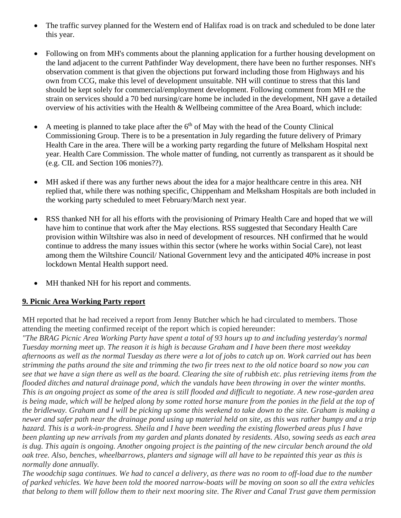- The traffic survey planned for the Western end of Halifax road is on track and scheduled to be done later this year.
- Following on from MH's comments about the planning application for a further housing development on the land adjacent to the current Pathfinder Way development, there have been no further responses. NH's observation comment is that given the objections put forward including those from Highways and his own from CCG, make this level of development unsuitable. NH will continue to stress that this land should be kept solely for commercial/employment development. Following comment from MH re the strain on services should a 70 bed nursing/care home be included in the development, NH gave a detailed overview of his activities with the Health & Wellbeing committee of the Area Board, which include:
- A meeting is planned to take place after the  $6<sup>th</sup>$  of May with the head of the County Clinical Commissioning Group. There is to be a presentation in July regarding the future delivery of Primary Health Care in the area. There will be a working party regarding the future of Melksham Hospital next year. Health Care Commission. The whole matter of funding, not currently as transparent as it should be (e.g. CIL and Section 106 monies??).
- MH asked if there was any further news about the idea for a major healthcare centre in this area. NH replied that, while there was nothing specific, Chippenham and Melksham Hospitals are both included in the working party scheduled to meet February/March next year.
- RSS thanked NH for all his efforts with the provisioning of Primary Health Care and hoped that we will have him to continue that work after the May elections. RSS suggested that Secondary Health Care provision within Wiltshire was also in need of development of resources. NH confirmed that he would continue to address the many issues within this sector (where he works within Social Care), not least among them the Wiltshire Council/ National Government levy and the anticipated 40% increase in post lockdown Mental Health support need.
- MH thanked NH for his report and comments.

# **9. Picnic Area Working Party report**

MH reported that he had received a report from Jenny Butcher which he had circulated to members. Those attending the meeting confirmed receipt of the report which is copied hereunder:

*"The BRAG Picnic Area Working Party have spent a total of 93 hours up to and including yesterday's normal Tuesday morning meet up. The reason it is high is because Graham and I have been there most weekday afternoons as well as the normal Tuesday as there were a lot of jobs to catch up on. Work carried out has been strimming the paths around the site and trimming the two fir trees next to the old notice board so now you can see that we have a sign there as well as the board. Clearing the site of rubbish etc. plus retrieving items from the flooded ditches and natural drainage pond, which the vandals have been throwing in over the winter months. This is an ongoing project as some of the area is still flooded and difficult to negotiate. A new rose-garden area is being made, which will be helped along by some rotted horse manure from the ponies in the field at the top of the bridleway. Graham and I will be picking up some this weekend to take down to the site. Graham is making a newer and safer path near the drainage pond using up material held on site, as this was rather bumpy and a trip hazard. This is a work-in-progress. Sheila and I have been weeding the existing flowerbed areas plus I have been planting up new arrivals from my garden and plants donated by residents. Also, sowing seeds as each area is dug. This again is ongoing. Another ongoing project is the painting of the new circular bench around the old oak tree. Also, benches, wheelbarrows, planters and signage will all have to be repainted this year as this is normally done annually.*

*The woodchip saga continues. We had to cancel a delivery, as there was no room to off-load due to the number of parked vehicles. We have been told the moored narrow-boats will be moving on soon so all the extra vehicles that belong to them will follow them to their next mooring site. The River and Canal Trust gave them permission*